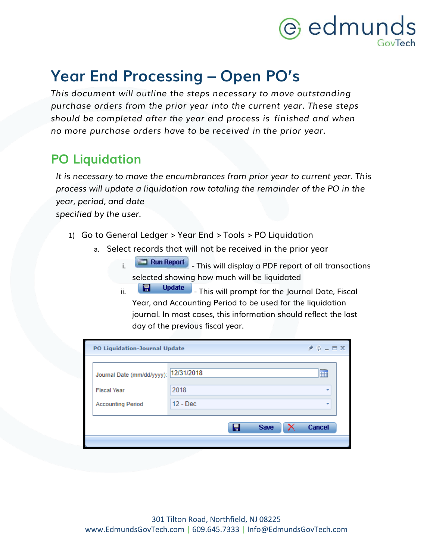# **@** edmunds

### **Year End Processing – Open PO's**

*This document will outline the steps necessary to move outstanding purchase orders from the prior year into the current year. These steps should be completed after the year end process is finished and when no more purchase orders have to be received in the prior year.*

#### **PO Liquidation**

*It is necessary to move the encumbrances from prior year to current year. This process will update a liquidation row totaling the remainder of the PO in the year, period, and date*

*specified by the user.*

- 1) Go to General Ledger > Year End > Tools > PO Liquidation
	- a. Select records that will not be received in the prior year
		- **i. Run Report** This will display a PDF report of all transactions selected showing how much will be liquidated
		- ii. **E.** Update This will prompt for the Journal Date, Fiscal Year, and Accounting Period to be used for the liquidation journal. In most cases, this information should reflect the last day of the previous fiscal year.

| PO Liquidation-Journal Update         | $\mathcal{F} \Phi = \mathbf{E} \times$ |               |
|---------------------------------------|----------------------------------------|---------------|
| Journal Date (mm/dd/yyyy): 12/31/2018 |                                        | m             |
| <b>Fiscal Year</b>                    | 2018                                   | ٠             |
| <b>Accounting Period</b>              | $12 - Dec$                             | ٠             |
|                                       | 倡<br><b>Save</b>                       | <b>Cancel</b> |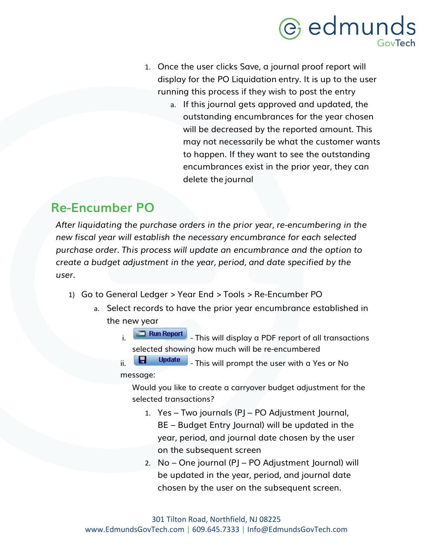### e edmunds GovTech

- 1. Once the user clicks Save, a journal proof report will display for the PO Liquidation entry. It is up to the user running this process if they wish to post the entry
	- a. If this journal gets approved and updated, the outstanding encumbrances for the year chosen will be decreased by the reported amount. This may not necessarily be what the customer wants to happen. If they want to see the outstanding encumbrances exist in the prior year, they can delete the journal

#### **Re-Encumber PO**

*After liquidating the purchase orders in the prior year, re-encumbering in the new fiscal year will establish the necessary encumbrance for each selected purchase order. This process will update an encumbrance and the option to create a budget adjustment in the year, period, and date specified by the user.*

- 1) Go to General Ledger > Year End > Tools > Re-Encumber PO
	- a. Select records to have the prior year encumbrance established in the new year
		- i. **This will display a PDF report of all transactions** selected showing how much will be re-encumbered
		- $\overline{\mathbf{u}}$  Update  $\overline{\mathbf{u}}$  This will prompt the user with a Yes or No message:

Would you like to create a carryover budget adjustment for the selected transactions?

- 1. Yes Two journals (PJ PO Adjustment Journal, BE – Budget Entry Journal) will be updated in the year, period, and journal date chosen by the user on the subsequent screen
- 2. No One journal (PJ PO Adjustment Journal) will be updated in the year, period, and journal date chosen by the user on the subsequent screen.